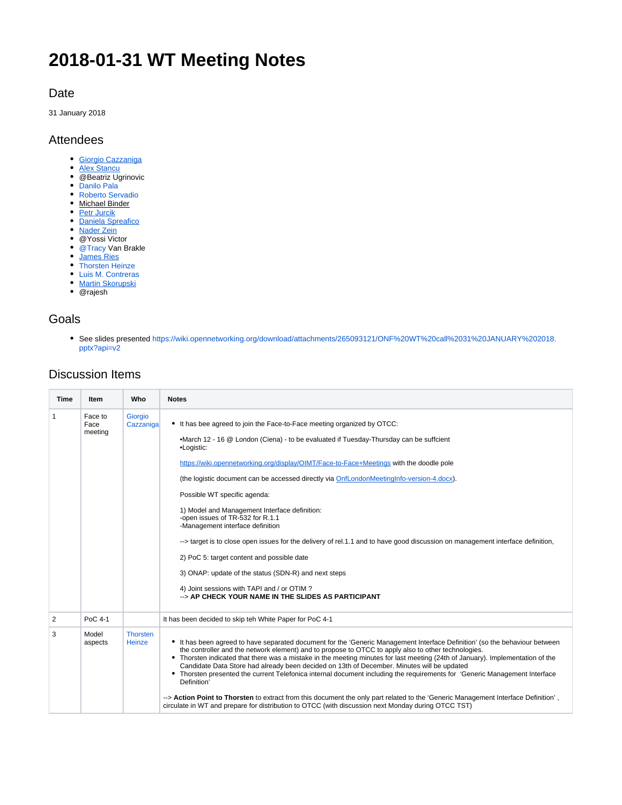# **2018-01-31 WT Meeting Notes**

#### Date

31 January 2018

#### Attendees

- [Giorgio Cazzaniga](https://wiki.opennetworking.org/display/~giorgio.cazzaniga)
- [Alex Stancu](https://wiki.opennetworking.org/display/~alexandrus)
- @Beatriz Ugrinovic
- [Danilo Pala](https://wiki.opennetworking.org/display/~danilo.pala)
- [Roberto Servadio](https://wiki.opennetworking.org/display/~roberto.servadio)
- Michael Binder
- [Petr Jurcik](https://wiki.opennetworking.org/display/~petr.jurcik)
- **[Daniela Spreafico](https://wiki.opennetworking.org/display/~spreafico.daniela)**
- [Nader Zein](https://wiki.opennetworking.org/display/~nader.zein)
- @Yossi Victor
- @Tracy Van Brakle
- [James Ries](https://wiki.opennetworking.org/display/~james.ries)
- [Thorsten Heinze](https://wiki.opennetworking.org/display/~thorsten.heinze)
- [Luis M. Contreras](https://wiki.opennetworking.org/display/~lmcm)
- [Martin Skorupski](https://wiki.opennetworking.org/display/~demx8as6)
- @rajesh

#### Goals

See slides presented [https://wiki.opennetworking.org/download/attachments/265093121/ONF%20WT%20call%2031%20JANUARY%202018.](https://wiki.opennetworking.org/download/attachments/265093121/ONF%20WT%20call%2031%20JANUARY%202018.pptx?api=v2) [pptx?api=v2](https://wiki.opennetworking.org/download/attachments/265093121/ONF%20WT%20call%2031%20JANUARY%202018.pptx?api=v2)

### Discussion Items

| Time | <b>Item</b>                | Who                              | <b>Notes</b>                                                                                                                                                                                                                                                                                                                                                                                                                                                                                                                                                                                                                                                                                                                                                                                                                                                                  |
|------|----------------------------|----------------------------------|-------------------------------------------------------------------------------------------------------------------------------------------------------------------------------------------------------------------------------------------------------------------------------------------------------------------------------------------------------------------------------------------------------------------------------------------------------------------------------------------------------------------------------------------------------------------------------------------------------------------------------------------------------------------------------------------------------------------------------------------------------------------------------------------------------------------------------------------------------------------------------|
| 1    | Face to<br>Face<br>meeting | Giorgio<br>Cazzaniga             | • It has bee agreed to join the Face-to-Face meeting organized by OTCC:<br>•March 12 - 16 @ London (Ciena) - to be evaluated if Tuesday-Thursday can be suffcient<br>•Logistic:<br>https://wiki.opennetworking.org/display/OIMT/Face-to-Face+Meetings with the doodle pole<br>(the logistic document can be accessed directly via OnfLondonMeetingInfo-version-4.docx).<br>Possible WT specific agenda:<br>1) Model and Management Interface definition:<br>-open issues of TR-532 for R.1.1<br>-Management interface definition<br>--> target is to close open issues for the delivery of rel.1.1 and to have good discussion on management interface definition,<br>2) PoC 5: target content and possible date<br>3) ONAP: update of the status (SDN-R) and next steps<br>4) Joint sessions with TAPI and / or OTIM?<br>--> AP CHECK YOUR NAME IN THE SLIDES AS PARTICIPANT |
| 2    | PoC 4-1                    |                                  | It has been decided to skip teh White Paper for PoC 4-1                                                                                                                                                                                                                                                                                                                                                                                                                                                                                                                                                                                                                                                                                                                                                                                                                       |
| 3    | Model<br>aspects           | <b>Thorsten</b><br><b>Heinze</b> | • It has been agreed to have separated document for the 'Generic Management Interface Definition' (so the behaviour between<br>the controller and the network element) and to propose to OTCC to apply also to other technologies.<br>• Thorsten indicated that there was a mistake in the meeting minutes for last meeting (24th of January). Implementation of the<br>Candidate Data Store had already been decided on 13th of December. Minutes will be updated<br>Thorsten presented the current Telefonica internal document including the requirements for 'Generic Management Interface<br>Definition'<br>--> Action Point to Thorsten to extract from this document the only part related to the 'Generic Management Interface Definition',<br>circulate in WT and prepare for distribution to OTCC (with discussion next Monday during OTCC TST)                     |